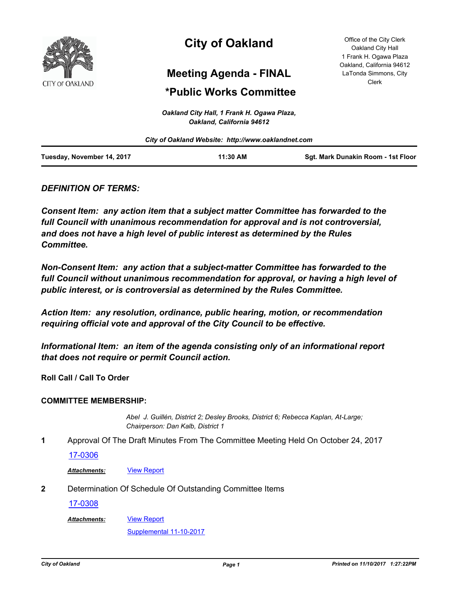

# **City of Oakland**

## **Meeting Agenda - FINAL**

## **\*Public Works Committee**

*Oakland City Hall, 1 Frank H. Ogawa Plaza,* 

| Oakland, California 94612<br>City of Oakland Website: http://www.oaklandnet.com |  |  |  |  |
|---------------------------------------------------------------------------------|--|--|--|--|
|                                                                                 |  |  |  |  |

## *DEFINITION OF TERMS:*

*Consent Item: any action item that a subject matter Committee has forwarded to the full Council with unanimous recommendation for approval and is not controversial, and does not have a high level of public interest as determined by the Rules Committee.*

*Non-Consent Item: any action that a subject-matter Committee has forwarded to the*  full Council without unanimous recommendation for approval, or having a high level of *public interest, or is controversial as determined by the Rules Committee.*

*Action Item: any resolution, ordinance, public hearing, motion, or recommendation requiring official vote and approval of the City Council to be effective.*

*Informational Item: an item of the agenda consisting only of an informational report that does not require or permit Council action.*

**Roll Call / Call To Order**

## **COMMITTEE MEMBERSHIP:**

*Abel J. Guillén, District 2; Desley Brooks, District 6; Rebecca Kaplan, At-Large; Chairperson: Dan Kalb, District 1*

**1** Approval Of The Draft Minutes From The Committee Meeting Held On October 24, 2017

## [17-0306](http://oakland.legistar.com/gateway.aspx?m=l&id=/matter.aspx?key=28254)

Attachments: **[View Report](http://oakland.legistar.com/gateway.aspx?M=F&ID=24b830d8-c4b8-4c0c-9aa6-78f00588124d.pdf)** 

**2** Determination Of Schedule Of Outstanding Committee Items

[17-0308](http://oakland.legistar.com/gateway.aspx?m=l&id=/matter.aspx?key=28255)

[View Report](http://oakland.legistar.com/gateway.aspx?M=F&ID=95231c47-8de2-4255-9128-48c6c7265add.pdf) *Attachments:*

[Supplemental 11-10-2017](http://oakland.legistar.com/gateway.aspx?M=F&ID=ef42084d-16e7-4f1e-afc3-c3f2c1fea77c.pdf)

Office of the City Clerk Oakland City Hall 1 Frank H. Ogawa Plaza Oakland, California 94612 LaTonda Simmons, City Clerk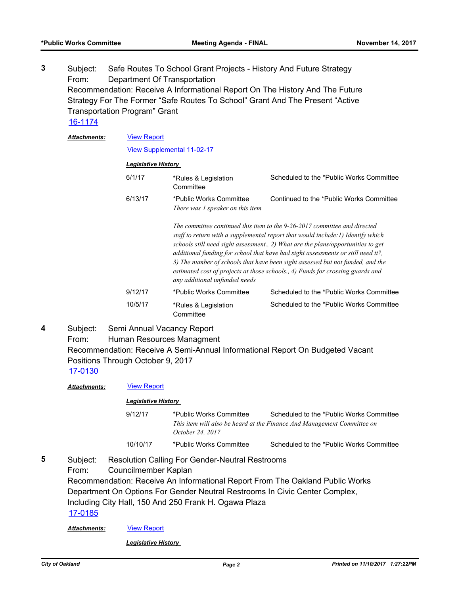Subject: Safe Routes To School Grant Projects - History And Future Strategy From: Department Of Transportation Recommendation: Receive A Informational Report On The History And The Future Strategy For The Former "Safe Routes To School" Grant And The Present "Active Transportation Program" Grant **3** [16-1174](http://oakland.legistar.com/gateway.aspx?m=l&id=/matter.aspx?key=27721)

[View Report](http://oakland.legistar.com/gateway.aspx?M=F&ID=50e183d2-908e-4e97-be89-1522ff1f89b3.pdf) *Attachments:*

[View Supplemental 11-02-17](http://oakland.legistar.com/gateway.aspx?M=F&ID=92e02f2b-9c0c-4fdb-85ae-719eae197cd9.pdf)

### *Legislative History*

| 6/1/17  | *Rules & Legislation<br>Committee                                                                                                                                                                                                                                                                                                                                                                                                                                            | Scheduled to the *Public Works Committee |  |
|---------|------------------------------------------------------------------------------------------------------------------------------------------------------------------------------------------------------------------------------------------------------------------------------------------------------------------------------------------------------------------------------------------------------------------------------------------------------------------------------|------------------------------------------|--|
| 6/13/17 | *Public Works Committee<br>There was 1 speaker on this item                                                                                                                                                                                                                                                                                                                                                                                                                  | Continued to the *Public Works Committee |  |
|         | The committee continued this item to the 9-26-2017 committee and directed<br>staff to return with a supplemental report that would include: 1) Identify which<br>$\mathbf{1}$ , $\mathbf{1}$ , $\mathbf{1}$ , $\mathbf{1}$ , $\mathbf{1}$ , $\mathbf{1}$ , $\mathbf{1}$ , $\mathbf{1}$ , $\mathbf{1}$ , $\mathbf{1}$ , $\mathbf{1}$ , $\mathbf{1}$ , $\mathbf{1}$ , $\mathbf{1}$ , $\mathbf{1}$ , $\mathbf{1}$ , $\mathbf{1}$ , $\mathbf{1}$ , $\mathbf{1}$ , $\mathbf{1}$ , |                                          |  |

*schools still need sight assessment., 2) What are the plans/opportunities to get additional funding for school that have had sight assessments or still need it?, 3) The number of schools that have been sight assessed but not funded, and the estimated cost of projects at those schools., 4) Funds for crossing guards and any additional unfunded needs* 9/12/17 \*Public Works Committee Scheduled to the \*Public Works Committee

| 10/5/17 | *Rules & Legislation<br>Committee | Scheduled to the *Public Works Committee |
|---------|-----------------------------------|------------------------------------------|
|         |                                   |                                          |

Subject: Semi Annual Vacancy Report From: Human Resources Managment Recommendation: Receive A Semi-Annual Informational Report On Budgeted Vacant Positions Through October 9, 2017 **4**

[17-0130](http://oakland.legistar.com/gateway.aspx?m=l&id=/matter.aspx?key=28078)

*Attachments:* [View Report](http://oakland.legistar.com/gateway.aspx?M=F&ID=06f8afc7-8698-49ba-9425-1918c0094c10.pdf)

### *Legislative History*

- 9/12/17 \*Public Works Committee Scheduled to the \*Public Works Committee *This item will also be heard at the Finance And Management Committee on October 24, 2017* 10/10/17 \*Public Works Committee Scheduled to the \*Public Works Committee
- Subject: Resolution Calling For Gender-Neutral Restrooms From: Councilmember Kaplan Recommendation: Receive An Informational Report From The Oakland Public Works Department On Options For Gender Neutral Restrooms In Civic Center Complex, Including City Hall, 150 And 250 Frank H. Ogawa Plaza **5** [17-0185](http://oakland.legistar.com/gateway.aspx?m=l&id=/matter.aspx?key=28133)

*Attachments:* [View Report](http://oakland.legistar.com/gateway.aspx?M=F&ID=cecffac3-ad15-44dd-8731-14e6c38752e8.pdf)

*Legislative History*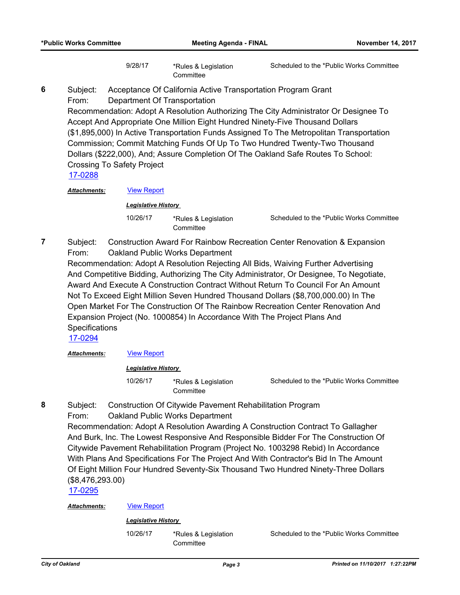9/28/17 \*Rules & Legislation **Committee** 

Scheduled to the \*Public Works Committee

Subject: Acceptance Of California Active Transportation Program Grant From: Department Of Transportation **6**

Recommendation: Adopt A Resolution Authorizing The City Administrator Or Designee To Accept And Appropriate One Million Eight Hundred Ninety-Five Thousand Dollars (\$1,895,000) In Active Transportation Funds Assigned To The Metropolitan Transportation Commission; Commit Matching Funds Of Up To Two Hundred Twenty-Two Thousand Dollars (\$222,000), And; Assure Completion Of The Oakland Safe Routes To School: Crossing To Safety Project

[17-0288](http://oakland.legistar.com/gateway.aspx?m=l&id=/matter.aspx?key=28236)

Attachments: **[View Report](http://oakland.legistar.com/gateway.aspx?M=F&ID=01397af9-cdb3-4d6e-ad05-472919f56b47.pdf)** 

*Legislative History* 

10/26/17 \*Rules & Legislation **Committee** 

Scheduled to the \*Public Works Committee

Subject: Construction Award For Rainbow Recreation Center Renovation & Expansion From: Oakland Public Works Department **7**

Recommendation: Adopt A Resolution Rejecting All Bids, Waiving Further Advertising And Competitive Bidding, Authorizing The City Administrator, Or Designee, To Negotiate, Award And Execute A Construction Contract Without Return To Council For An Amount Not To Exceed Eight Million Seven Hundred Thousand Dollars (\$8,700,000.00) In The Open Market For The Construction Of The Rainbow Recreation Center Renovation And Expansion Project (No. 1000854) In Accordance With The Project Plans And **Specifications** 

[17-0294](http://oakland.legistar.com/gateway.aspx?m=l&id=/matter.aspx?key=28242)

**Attachments: [View Report](http://oakland.legistar.com/gateway.aspx?M=F&ID=e53ce9f8-b73c-4768-b0ef-430707cd3c10.pdf)** 

### *Legislative History*

10/26/17 \*Rules & Legislation **Committee** 

Scheduled to the \*Public Works Committee

- Subject: Construction Of Citywide Pavement Rehabilitation Program **8**
	- From: Oakland Public Works Department

Recommendation: Adopt A Resolution Awarding A Construction Contract To Gallagher And Burk, Inc. The Lowest Responsive And Responsible Bidder For The Construction Of Citywide Pavement Rehabilitation Program (Project No. 1003298 Rebid) In Accordance With Plans And Specifications For The Project And With Contractor's Bid In The Amount Of Eight Million Four Hundred Seventy-Six Thousand Two Hundred Ninety-Three Dollars (\$8,476,293.00)

[17-0295](http://oakland.legistar.com/gateway.aspx?m=l&id=/matter.aspx?key=28243)

### *Attachments:* [View Report](http://oakland.legistar.com/gateway.aspx?M=F&ID=513329c5-620e-421e-a868-fae092da5e17.pdf)

## *Legislative History*

10/26/17 \*Rules & Legislation **Committee** 

Scheduled to the \*Public Works Committee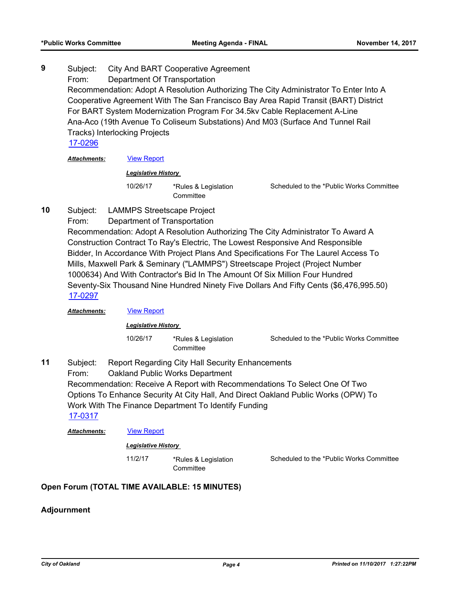## Subject: City And BART Cooperative Agreement From: Department Of Transportation Recommendation: Adopt A Resolution Authorizing The City Administrator To Enter Into A Cooperative Agreement With The San Francisco Bay Area Rapid Transit (BART) District For BART System Modernization Program For 34.5kv Cable Replacement A-Line Ana-Aco (19th Avenue To Coliseum Substations) And M03 (Surface And Tunnel Rail Tracks) Interlocking Projects **9** [17-0296](http://oakland.legistar.com/gateway.aspx?m=l&id=/matter.aspx?key=28244)

*Attachments:* [View Report](http://oakland.legistar.com/gateway.aspx?M=F&ID=7f8dc8d1-0ea9-4784-9745-60460efe0301.pdf)

### *Legislative History*

10/26/17 \*Rules & Legislation **Committee** 

Scheduled to the \*Public Works Committee

- Subject: LAMMPS Streetscape Project **10**
	- From: Department of Transportation

Recommendation: Adopt A Resolution Authorizing The City Administrator To Award A Construction Contract To Ray's Electric, The Lowest Responsive And Responsible Bidder, In Accordance With Project Plans And Specifications For The Laurel Access To Mills, Maxwell Park & Seminary ("LAMMPS") Streetscape Project (Project Number 1000634) And With Contractor's Bid In The Amount Of Six Million Four Hundred Seventy-Six Thousand Nine Hundred Ninety Five Dollars And Fifty Cents (\$6,476,995.50) [17-0297](http://oakland.legistar.com/gateway.aspx?m=l&id=/matter.aspx?key=28245)

### *Attachments:* [View Report](http://oakland.legistar.com/gateway.aspx?M=F&ID=a5f1e311-9a4a-4565-9887-2bd302e5d0d6.pdf)

## *Legislative History*

10/26/17 \*Rules & Legislation **Committee** 

Subject: Report Regarding City Hall Security Enhancements From: Oakland Public Works Department Recommendation: Receive A Report with Recommendations To Select One Of Two Options To Enhance Security At City Hall, And Direct Oakland Public Works (OPW) To Work With The Finance Department To Identify Funding **11** [17-0317](http://oakland.legistar.com/gateway.aspx?m=l&id=/matter.aspx?key=28264)

*Attachments:* [View Report](http://oakland.legistar.com/gateway.aspx?M=F&ID=461f874c-5c4c-419c-86a5-b984852b3221.pdf)

## *Legislative History*

11/2/17 \*Rules & Legislation

**Committee** 

Scheduled to the \*Public Works Committee

Scheduled to the \*Public Works Committee

## **Open Forum (TOTAL TIME AVAILABLE: 15 MINUTES)**

## **Adjournment**